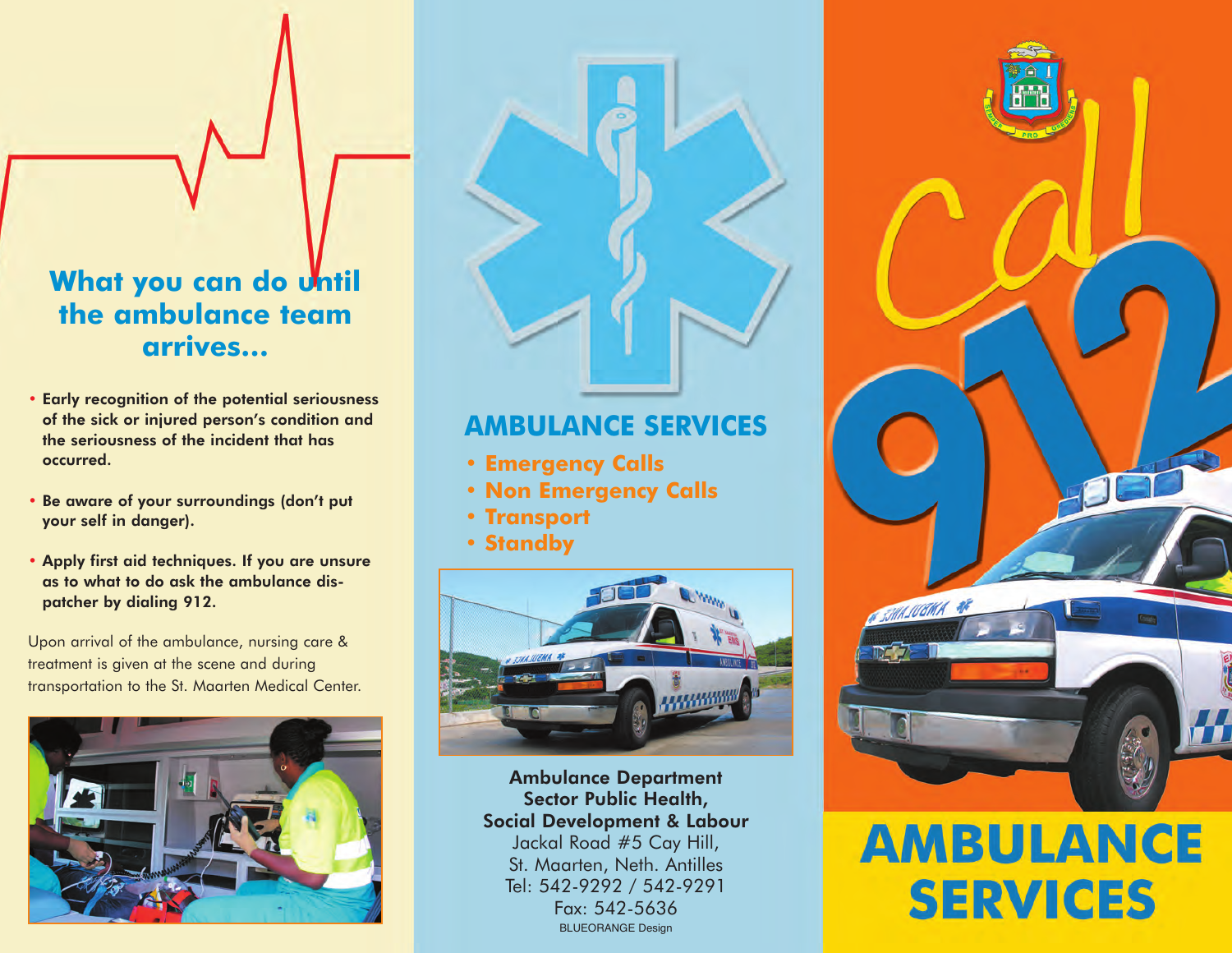## **What you can do Until the ambulance team arrives…**

- Early recognition of the potential seriousness of the sick or injured person's condition and the seriousness of the incident that has occurred.
- Be aware of your surroundings (don't put your self in danger).
- Apply first aid techniques. If you are unsure as to what to do ask the ambulance dispatcher by dialing 912.

Upon arrival of the ambulance, nursing care & treatment is given at the scene and during transportation to the St. Maarten Medical Center.



## **AMBULANCE SERVICES**

- **• Emergency Calls**
- **• Non Emergency Calls**
- **• Transport**
- **• Standby**



BLUEORANGE Design Ambulance Department Sector Public Health, Social Development & Labour Jackal Road #5 Cay Hill, St. Maarten, Neth. Antilles Tel: 542-9292 / 542-9291 Fax: 542-5636



## **AMBULANCE SERVICES**